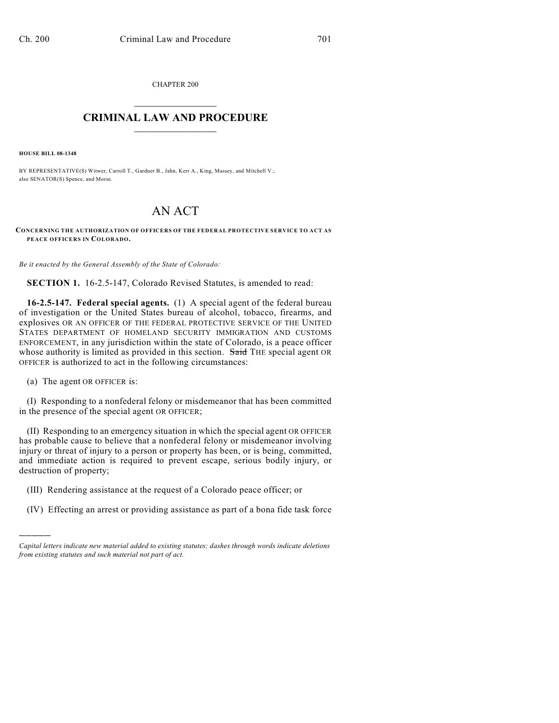CHAPTER 200

## $\overline{\phantom{a}}$  . The set of the set of the set of the set of the set of the set of the set of the set of the set of the set of the set of the set of the set of the set of the set of the set of the set of the set of the set o **CRIMINAL LAW AND PROCEDURE**  $\frac{1}{2}$  ,  $\frac{1}{2}$  ,  $\frac{1}{2}$  ,  $\frac{1}{2}$  ,  $\frac{1}{2}$  ,  $\frac{1}{2}$  ,  $\frac{1}{2}$

**HOUSE BILL 08-1348**

BY REPRESENTATIVE(S) Witwer, Carroll T., Gardner B., Jahn, Kerr A., King, Massey, and Mitchell V.; also SENATOR(S) Spence, and Morse.

## AN ACT

**CONCERNING THE AUTHORIZATION OF OFFICERS OF THE FEDERAL PROTECTIVE SERVICE TO ACT AS PEACE OFFICERS IN COLORADO.**

*Be it enacted by the General Assembly of the State of Colorado:*

**SECTION 1.** 16-2.5-147, Colorado Revised Statutes, is amended to read:

**16-2.5-147. Federal special agents.** (1) A special agent of the federal bureau of investigation or the United States bureau of alcohol, tobacco, firearms, and explosives OR AN OFFICER OF THE FEDERAL PROTECTIVE SERVICE OF THE UNITED STATES DEPARTMENT OF HOMELAND SECURITY IMMIGRATION AND CUSTOMS ENFORCEMENT, in any jurisdiction within the state of Colorado, is a peace officer whose authority is limited as provided in this section. Said THE special agent OR OFFICER is authorized to act in the following circumstances:

(a) The agent OR OFFICER is:

)))))

(I) Responding to a nonfederal felony or misdemeanor that has been committed in the presence of the special agent OR OFFICER;

(II) Responding to an emergency situation in which the special agent OR OFFICER has probable cause to believe that a nonfederal felony or misdemeanor involving injury or threat of injury to a person or property has been, or is being, committed, and immediate action is required to prevent escape, serious bodily injury, or destruction of property;

- (III) Rendering assistance at the request of a Colorado peace officer; or
- (IV) Effecting an arrest or providing assistance as part of a bona fide task force

*Capital letters indicate new material added to existing statutes; dashes through words indicate deletions from existing statutes and such material not part of act.*